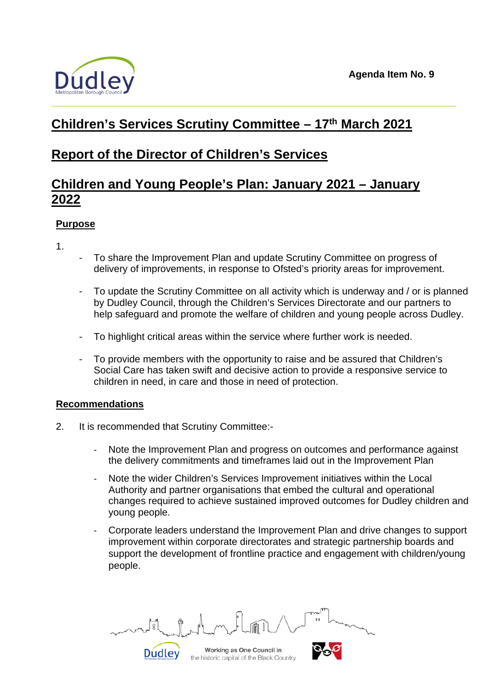

# **Children's Services Scrutiny Committee – 17th March 2021**

# **Report of the Director of Children's Services**

# **Children and Young People's Plan: January 2021 – January 2022**

# **Purpose**

1.

- To share the Improvement Plan and update Scrutiny Committee on progress of delivery of improvements, in response to Ofsted's priority areas for improvement.
- To update the Scrutiny Committee on all activity which is underway and / or is planned by Dudley Council, through the Children's Services Directorate and our partners to help safeguard and promote the welfare of children and young people across Dudley.
- To highlight critical areas within the service where further work is needed.
- To provide members with the opportunity to raise and be assured that Children's Social Care has taken swift and decisive action to provide a responsive service to children in need, in care and those in need of protection.

# **Recommendations**

- 2. It is recommended that Scrutiny Committee:-
	- Note the Improvement Plan and progress on outcomes and performance against the delivery commitments and timeframes laid out in the Improvement Plan
	- Note the wider Children's Services Improvement initiatives within the Local Authority and partner organisations that embed the cultural and operational changes required to achieve sustained improved outcomes for Dudley children and young people.
	- Corporate leaders understand the Improvement Plan and drive changes to support improvement within corporate directorates and strategic partnership boards and support the development of frontline practice and engagement with children/young people.

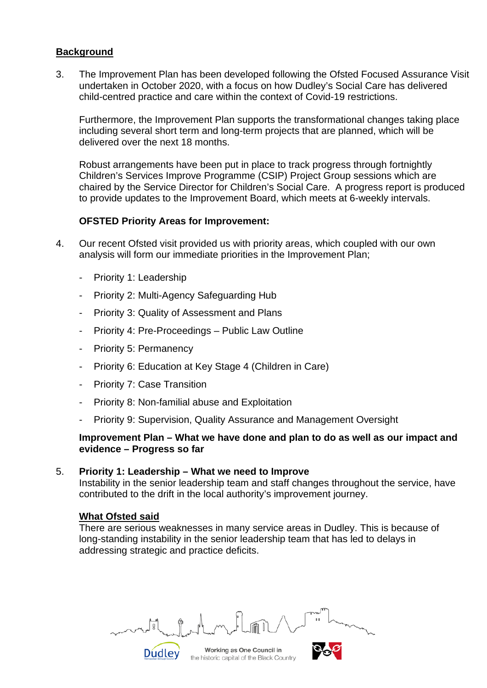## **Background**

3. The Improvement Plan has been developed following the Ofsted Focused Assurance Visit undertaken in October 2020, with a focus on how Dudley's Social Care has delivered child-centred practice and care within the context of Covid-19 restrictions.

Furthermore, the Improvement Plan supports the transformational changes taking place including several short term and long-term projects that are planned, which will be delivered over the next 18 months.

Robust arrangements have been put in place to track progress through fortnightly Children's Services Improve Programme (CSIP) Project Group sessions which are chaired by the Service Director for Children's Social Care. A progress report is produced to provide updates to the Improvement Board, which meets at 6-weekly intervals.

## **OFSTED Priority Areas for Improvement:**

- 4. Our recent Ofsted visit provided us with priority areas, which coupled with our own analysis will form our immediate priorities in the Improvement Plan;
	- Priority 1: Leadership
	- Priority 2: Multi-Agency Safeguarding Hub
	- Priority 3: Quality of Assessment and Plans
	- Priority 4: Pre-Proceedings Public Law Outline
	- Priority 5: Permanency
	- Priority 6: Education at Key Stage 4 (Children in Care)
	- Priority 7: Case Transition
	- Priority 8: Non-familial abuse and Exploitation
	- Priority 9: Supervision, Quality Assurance and Management Oversight

#### **Improvement Plan – What we have done and plan to do as well as our impact and evidence – Progress so far**

#### 5. **Priority 1: Leadership – What we need to Improve**

**Dudley** 

Instability in the senior leadership team and staff changes throughout the service, have contributed to the drift in the local authority's improvement journey.

### **What Ofsted said**

There are serious weaknesses in many service areas in Dudley. This is because of long-standing instability in the senior leadership team that has led to delays in addressing strategic and practice deficits.

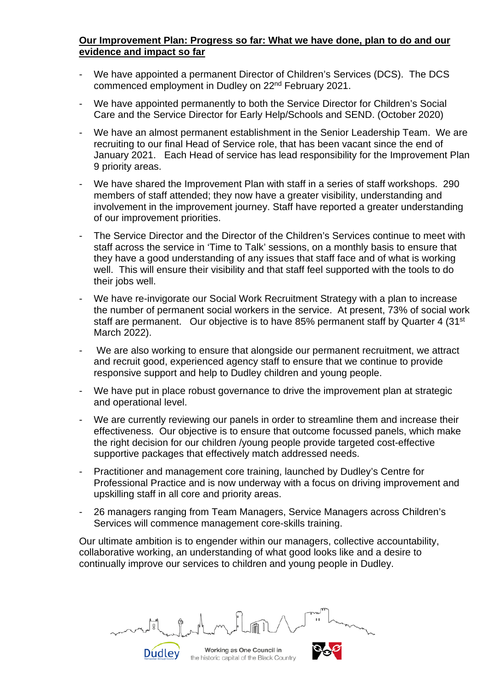## **Our Improvement Plan: Progress so far: What we have done, plan to do and our evidence and impact so far**

- We have appointed a permanent Director of Children's Services (DCS). The DCS commenced employment in Dudley on 22nd February 2021.
- We have appointed permanently to both the Service Director for Children's Social Care and the Service Director for Early Help/Schools and SEND. (October 2020)
- We have an almost permanent establishment in the Senior Leadership Team. We are recruiting to our final Head of Service role, that has been vacant since the end of January 2021. Each Head of service has lead responsibility for the Improvement Plan 9 priority areas.
- We have shared the Improvement Plan with staff in a series of staff workshops. 290 members of staff attended; they now have a greater visibility, understanding and involvement in the improvement journey. Staff have reported a greater understanding of our improvement priorities.
- The Service Director and the Director of the Children's Services continue to meet with staff across the service in 'Time to Talk' sessions, on a monthly basis to ensure that they have a good understanding of any issues that staff face and of what is working well. This will ensure their visibility and that staff feel supported with the tools to do their jobs well.
- We have re-invigorate our Social Work Recruitment Strategy with a plan to increase the number of permanent social workers in the service. At present, 73% of social work staff are permanent. Our objective is to have 85% permanent staff by Quarter 4 (31<sup>st</sup>) March 2022).
- We are also working to ensure that alongside our permanent recruitment, we attract and recruit good, experienced agency staff to ensure that we continue to provide responsive support and help to Dudley children and young people.
- We have put in place robust governance to drive the improvement plan at strategic and operational level.
- We are currently reviewing our panels in order to streamline them and increase their effectiveness. Our objective is to ensure that outcome focussed panels, which make the right decision for our children /young people provide targeted cost-effective supportive packages that effectively match addressed needs.
- Practitioner and management core training, launched by Dudley's Centre for Professional Practice and is now underway with a focus on driving improvement and upskilling staff in all core and priority areas.
- 26 managers ranging from Team Managers, Service Managers across Children's Services will commence management core-skills training.

Our ultimate ambition is to engender within our managers, collective accountability, collaborative working, an understanding of what good looks like and a desire to continually improve our services to children and young people in Dudley.

Working as One Council in the historic capital of the Black Country

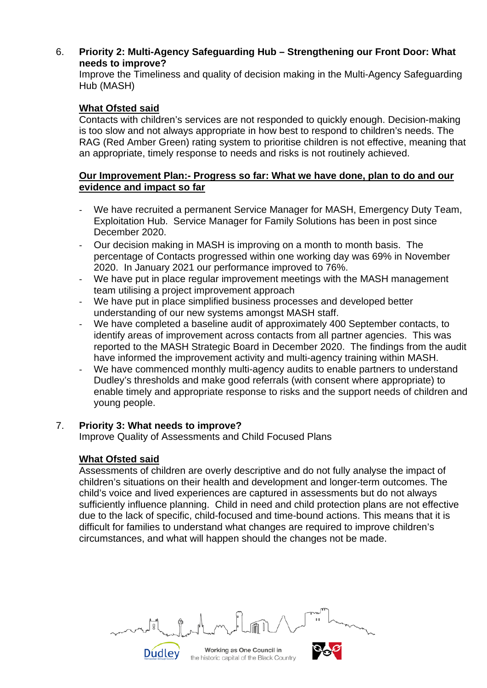6. **Priority 2: Multi-Agency Safeguarding Hub – Strengthening our Front Door: What needs to improve?**

Improve the Timeliness and quality of decision making in the Multi-Agency Safeguarding Hub (MASH)

## **What Ofsted said**

Contacts with children's services are not responded to quickly enough. Decision-making is too slow and not always appropriate in how best to respond to children's needs. The RAG (Red Amber Green) rating system to prioritise children is not effective, meaning that an appropriate, timely response to needs and risks is not routinely achieved.

## **Our Improvement Plan:- Progress so far: What we have done, plan to do and our evidence and impact so far**

- We have recruited a permanent Service Manager for MASH, Emergency Duty Team, Exploitation Hub. Service Manager for Family Solutions has been in post since December 2020.
- Our decision making in MASH is improving on a month to month basis. The percentage of Contacts progressed within one working day was 69% in November 2020. In January 2021 our performance improved to 76%.
- We have put in place regular improvement meetings with the MASH management team utilising a project improvement approach
- We have put in place simplified business processes and developed better understanding of our new systems amongst MASH staff.
- We have completed a baseline audit of approximately 400 September contacts, to identify areas of improvement across contacts from all partner agencies. This was reported to the MASH Strategic Board in December 2020. The findings from the audit have informed the improvement activity and multi-agency training within MASH.
- We have commenced monthly multi-agency audits to enable partners to understand Dudley's thresholds and make good referrals (with consent where appropriate) to enable timely and appropriate response to risks and the support needs of children and young people.

### 7. **Priority 3: What needs to improve?**

Dudley

Improve Quality of Assessments and Child Focused Plans

# **What Ofsted said**

Assessments of children are overly descriptive and do not fully analyse the impact of children's situations on their health and development and longer-term outcomes. The child's voice and lived experiences are captured in assessments but do not always sufficiently influence planning. Child in need and child protection plans are not effective due to the lack of specific, child-focused and time-bound actions. This means that it is difficult for families to understand what changes are required to improve children's circumstances, and what will happen should the changes not be made.

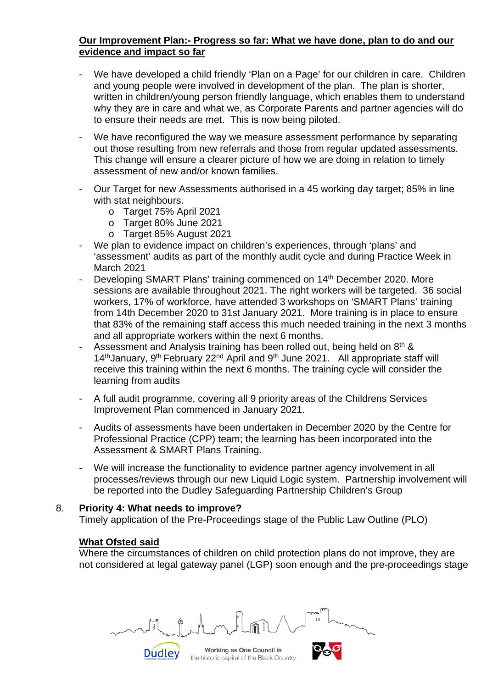## **Our Improvement Plan:- Progress so far: What we have done, plan to do and our evidence and impact so far**

- We have developed a child friendly 'Plan on a Page' for our children in care. Children and young people were involved in development of the plan. The plan is shorter, written in children/young person friendly language, which enables them to understand why they are in care and what we, as Corporate Parents and partner agencies will do to ensure their needs are met. This is now being piloted.
- We have reconfigured the way we measure assessment performance by separating out those resulting from new referrals and those from regular updated assessments. This change will ensure a clearer picture of how we are doing in relation to timely assessment of new and/or known families.
- Our Target for new Assessments authorised in a 45 working day target; 85% in line with stat neighbours.
	- o Target 75% April 2021
	- o Target 80% June 2021
	- o Target 85% August 2021
- We plan to evidence impact on children's experiences, through 'plans' and 'assessment' audits as part of the monthly audit cycle and during Practice Week in March 2021
- Developing SMART Plans' training commenced on 14<sup>th</sup> December 2020. More sessions are available throughout 2021. The right workers will be targeted. 36 social workers, 17% of workforce, have attended 3 workshops on 'SMART Plans' training from 14th December 2020 to 31st January 2021. More training is in place to ensure that 83% of the remaining staff access this much needed training in the next 3 months and all appropriate workers within the next 6 months.
- Assessment and Analysis training has been rolled out, being held on 8<sup>th</sup> & 14<sup>th</sup> January, 9<sup>th</sup> February 22<sup>nd</sup> April and 9<sup>th</sup> June 2021. All appropriate staff will receive this training within the next 6 months. The training cycle will consider the learning from audits
- A full audit programme, covering all 9 priority areas of the Childrens Services Improvement Plan commenced in January 2021.
- Audits of assessments have been undertaken in December 2020 by the Centre for Professional Practice (CPP) team; the learning has been incorporated into the Assessment & SMART Plans Training.
- We will increase the functionality to evidence partner agency involvement in all processes/reviews through our new Liquid Logic system. Partnership involvement will be reported into the Dudley Safeguarding Partnership Children's Group

### 8. **Priority 4: What needs to improve?**

Dudley

Timely application of the Pre-Proceedings stage of the Public Law Outline (PLO)

### **What Ofsted said**

Where the circumstances of children on child protection plans do not improve, they are not considered at legal gateway panel (LGP) soon enough and the pre-proceedings stage

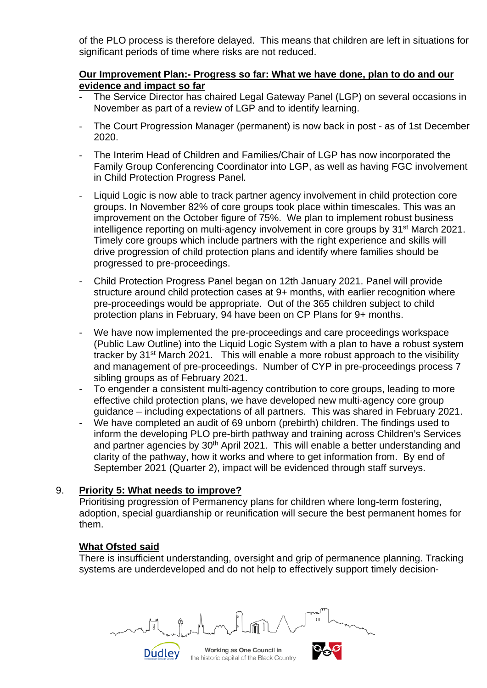of the PLO process is therefore delayed. This means that children are left in situations for significant periods of time where risks are not reduced.

### **Our Improvement Plan:- Progress so far: What we have done, plan to do and our evidence and impact so far**

- The Service Director has chaired Legal Gateway Panel (LGP) on several occasions in November as part of a review of LGP and to identify learning.
- The Court Progression Manager (permanent) is now back in post as of 1st December 2020.
- The Interim Head of Children and Families/Chair of LGP has now incorporated the Family Group Conferencing Coordinator into LGP, as well as having FGC involvement in Child Protection Progress Panel.
- Liquid Logic is now able to track partner agency involvement in child protection core groups. In November 82% of core groups took place within timescales. This was an improvement on the October figure of 75%. We plan to implement robust business intelligence reporting on multi-agency involvement in core groups by 31st March 2021. Timely core groups which include partners with the right experience and skills will drive progression of child protection plans and identify where families should be progressed to pre-proceedings.
- Child Protection Progress Panel began on 12th January 2021. Panel will provide structure around child protection cases at 9+ months, with earlier recognition where pre-proceedings would be appropriate. Out of the 365 children subject to child protection plans in February, 94 have been on CP Plans for 9+ months.
- We have now implemented the pre-proceedings and care proceedings workspace (Public Law Outline) into the Liquid Logic System with a plan to have a robust system tracker by 31st March 2021. This will enable a more robust approach to the visibility and management of pre-proceedings. Number of CYP in pre-proceedings process 7 sibling groups as of February 2021.
- To engender a consistent multi-agency contribution to core groups, leading to more effective child protection plans, we have developed new multi-agency core group guidance – including expectations of all partners. This was shared in February 2021.
- We have completed an audit of 69 unborn (prebirth) children. The findings used to inform the developing PLO pre-birth pathway and training across Children's Services and partner agencies by  $30<sup>th</sup>$  April 2021. This will enable a better understanding and clarity of the pathway, how it works and where to get information from. By end of September 2021 (Quarter 2), impact will be evidenced through staff surveys.

# 9. **Priority 5: What needs to improve?**

Dudley

Prioritising progression of Permanency plans for children where long-term fostering, adoption, special guardianship or reunification will secure the best permanent homes for them.

# **What Ofsted said**

There is insufficient understanding, oversight and grip of permanence planning. Tracking systems are underdeveloped and do not help to effectively support timely decision-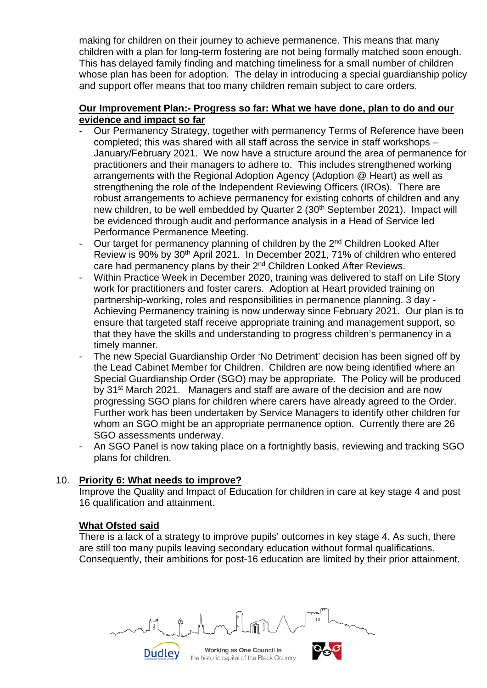making for children on their journey to achieve permanence. This means that many children with a plan for long-term fostering are not being formally matched soon enough. This has delayed family finding and matching timeliness for a small number of children whose plan has been for adoption. The delay in introducing a special guardianship policy and support offer means that too many children remain subject to care orders.

### **Our Improvement Plan:- Progress so far: What we have done, plan to do and our evidence and impact so far**

- Our Permanency Strategy, together with permanency Terms of Reference have been completed; this was shared with all staff across the service in staff workshops – January/February 2021. We now have a structure around the area of permanence for practitioners and their managers to adhere to. This includes strengthened working arrangements with the Regional Adoption Agency (Adoption @ Heart) as well as strengthening the role of the Independent Reviewing Officers (IROs). There are robust arrangements to achieve permanency for existing cohorts of children and any new children, to be well embedded by Quarter 2 (30<sup>th</sup> September 2021). Impact will be evidenced through audit and performance analysis in a Head of Service led Performance Permanence Meeting.
- Our target for permanency planning of children by the 2<sup>nd</sup> Children Looked After Review is 90% by 30<sup>th</sup> April 2021. In December 2021, 71% of children who entered care had permanency plans by their 2<sup>nd</sup> Children Looked After Reviews.
- Within Practice Week in December 2020, training was delivered to staff on Life Story work for practitioners and foster carers. Adoption at Heart provided training on partnership-working, roles and responsibilities in permanence planning. 3 day - Achieving Permanency training is now underway since February 2021. Our plan is to ensure that targeted staff receive appropriate training and management support, so that they have the skills and understanding to progress children's permanency in a timely manner.
- The new Special Guardianship Order 'No Detriment' decision has been signed off by the Lead Cabinet Member for Children. Children are now being identified where an Special Guardianship Order (SGO) may be appropriate. The Policy will be produced by 31<sup>st</sup> March 2021. Managers and staff are aware of the decision and are now progressing SGO plans for children where carers have already agreed to the Order. Further work has been undertaken by Service Managers to identify other children for whom an SGO might be an appropriate permanence option. Currently there are 26 SGO assessments underway.
- An SGO Panel is now taking place on a fortnightly basis, reviewing and tracking SGO plans for children.

### 10. **Priority 6: What needs to improve?**

Dudley

Improve the Quality and Impact of Education for children in care at key stage 4 and post 16 qualification and attainment.

### **What Ofsted said**

There is a lack of a strategy to improve pupils' outcomes in key stage 4. As such, there are still too many pupils leaving secondary education without formal qualifications. Consequently, their ambitions for post-16 education are limited by their prior attainment.

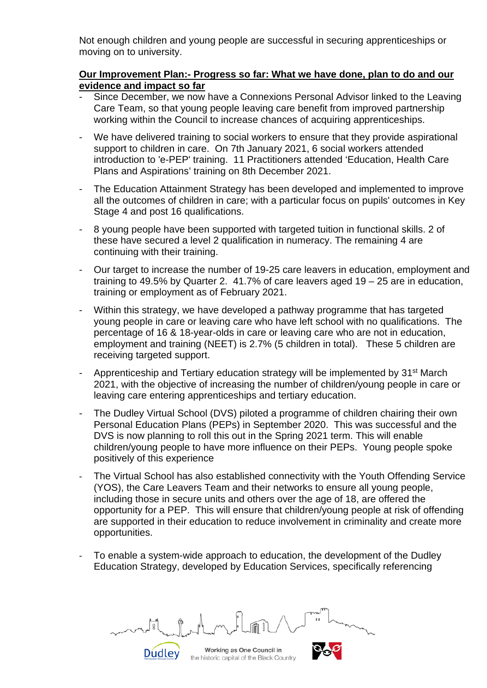Not enough children and young people are successful in securing apprenticeships or moving on to university.

### **Our Improvement Plan:- Progress so far: What we have done, plan to do and our evidence and impact so far**

- Since December, we now have a Connexions Personal Advisor linked to the Leaving Care Team, so that young people leaving care benefit from improved partnership working within the Council to increase chances of acquiring apprenticeships.
- We have delivered training to social workers to ensure that they provide aspirational support to children in care. On 7th January 2021, 6 social workers attended introduction to 'e-PEP' training. 11 Practitioners attended 'Education, Health Care Plans and Aspirations' training on 8th December 2021.
- The Education Attainment Strategy has been developed and implemented to improve all the outcomes of children in care; with a particular focus on pupils' outcomes in Key Stage 4 and post 16 qualifications.
- 8 young people have been supported with targeted tuition in functional skills. 2 of these have secured a level 2 qualification in numeracy. The remaining 4 are continuing with their training.
- Our target to increase the number of 19-25 care leavers in education, employment and training to 49.5% by Quarter 2. 41.7% of care leavers aged 19 – 25 are in education, training or employment as of February 2021.
- Within this strategy, we have developed a pathway programme that has targeted young people in care or leaving care who have left school with no qualifications. The percentage of 16 & 18-year-olds in care or leaving care who are not in education, employment and training (NEET) is 2.7% (5 children in total). These 5 children are receiving targeted support.
- Apprenticeship and Tertiary education strategy will be implemented by 31<sup>st</sup> March 2021, with the objective of increasing the number of children/young people in care or leaving care entering apprenticeships and tertiary education.
- The Dudley Virtual School (DVS) piloted a programme of children chairing their own Personal Education Plans (PEPs) in September 2020. This was successful and the DVS is now planning to roll this out in the Spring 2021 term. This will enable children/young people to have more influence on their PEPs. Young people spoke positively of this experience
- The Virtual School has also established connectivity with the Youth Offending Service (YOS), the Care Leavers Team and their networks to ensure all young people, including those in secure units and others over the age of 18, are offered the opportunity for a PEP. This will ensure that children/young people at risk of offending are supported in their education to reduce involvement in criminality and create more opportunities.
- To enable a system-wide approach to education, the development of the Dudley Education Strategy, developed by Education Services, specifically referencing

Working as One Council in the historic capital of the Black Country

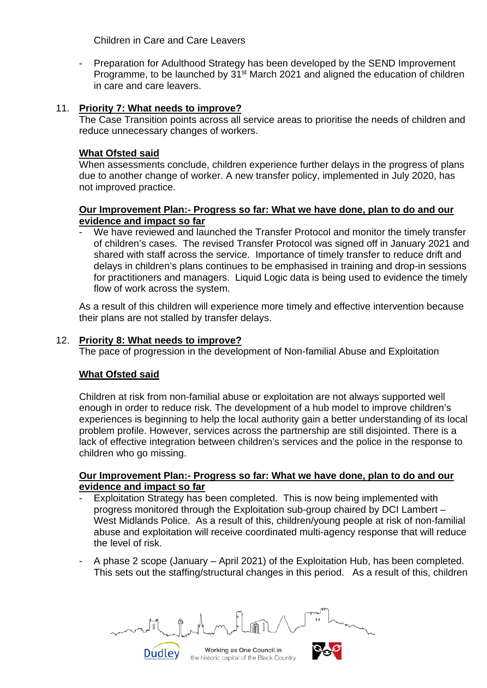Children in Care and Care Leavers

- Preparation for Adulthood Strategy has been developed by the SEND Improvement Programme, to be launched by 31<sup>st</sup> March 2021 and aligned the education of children in care and care leavers.

#### 11. **Priority 7: What needs to improve?**

The Case Transition points across all service areas to prioritise the needs of children and reduce unnecessary changes of workers.

#### **What Ofsted said**

When assessments conclude, children experience further delays in the progress of plans due to another change of worker. A new transfer policy, implemented in July 2020, has not improved practice.

#### **Our Improvement Plan:- Progress so far: What we have done, plan to do and our evidence and impact so far**

We have reviewed and launched the Transfer Protocol and monitor the timely transfer of children's cases. The revised Transfer Protocol was signed off in January 2021 and shared with staff across the service. Importance of timely transfer to reduce drift and delays in children's plans continues to be emphasised in training and drop-in sessions for practitioners and managers. Liquid Logic data is being used to evidence the timely flow of work across the system.

As a result of this children will experience more timely and effective intervention because their plans are not stalled by transfer delays.

#### 12. **Priority 8: What needs to improve?**

**Dudley** 

The pace of progression in the development of Non-familial Abuse and Exploitation

#### **What Ofsted said**

Children at risk from non-familial abuse or exploitation are not always supported well enough in order to reduce risk. The development of a hub model to improve children's experiences is beginning to help the local authority gain a better understanding of its local problem profile. However, services across the partnership are still disjointed. There is a lack of effective integration between children's services and the police in the response to children who go missing.

#### **Our Improvement Plan:- Progress so far: What we have done, plan to do and our evidence and impact so far**

- Exploitation Strategy has been completed. This is now being implemented with progress monitored through the Exploitation sub-group chaired by DCI Lambert – West Midlands Police. As a result of this, children/young people at risk of non-familial abuse and exploitation will receive coordinated multi-agency response that will reduce the level of risk.
- A phase 2 scope (January April 2021) of the Exploitation Hub, has been completed. This sets out the staffing/structural changes in this period. As a result of this, children

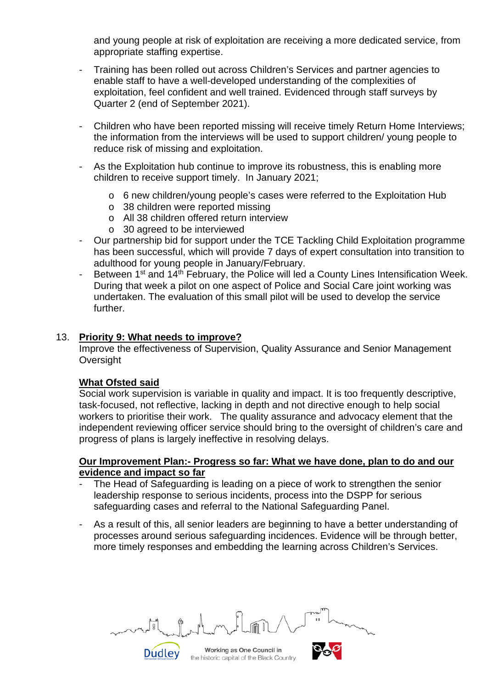and young people at risk of exploitation are receiving a more dedicated service, from appropriate staffing expertise.

- Training has been rolled out across Children's Services and partner agencies to enable staff to have a well-developed understanding of the complexities of exploitation, feel confident and well trained. Evidenced through staff surveys by Quarter 2 (end of September 2021).
- Children who have been reported missing will receive timely Return Home Interviews; the information from the interviews will be used to support children/ young people to reduce risk of missing and exploitation.
- As the Exploitation hub continue to improve its robustness, this is enabling more children to receive support timely. In January 2021;
	- o 6 new children/young people's cases were referred to the Exploitation Hub
	- o 38 children were reported missing
	- o All 38 children offered return interview
	- $\circ$  30 agreed to be interviewed
- Our partnership bid for support under the TCE Tackling Child Exploitation programme has been successful, which will provide 7 days of expert consultation into transition to adulthood for young people in January/February.
- Between 1<sup>st</sup> and 14<sup>th</sup> February, the Police will led a County Lines Intensification Week. During that week a pilot on one aspect of Police and Social Care joint working was undertaken. The evaluation of this small pilot will be used to develop the service further.

#### 13. **Priority 9: What needs to improve?**

Dudley

Improve the effectiveness of Supervision, Quality Assurance and Senior Management **Oversight** 

### **What Ofsted said**

Social work supervision is variable in quality and impact. It is too frequently descriptive, task-focused, not reflective, lacking in depth and not directive enough to help social workers to prioritise their work. The quality assurance and advocacy element that the independent reviewing officer service should bring to the oversight of children's care and progress of plans is largely ineffective in resolving delays.

#### **Our Improvement Plan:- Progress so far: What we have done, plan to do and our evidence and impact so far**

- The Head of Safeguarding is leading on a piece of work to strengthen the senior leadership response to serious incidents, process into the DSPP for serious safeguarding cases and referral to the National Safeguarding Panel.
- As a result of this, all senior leaders are beginning to have a better understanding of processes around serious safeguarding incidences. Evidence will be through better, more timely responses and embedding the learning across Children's Services.

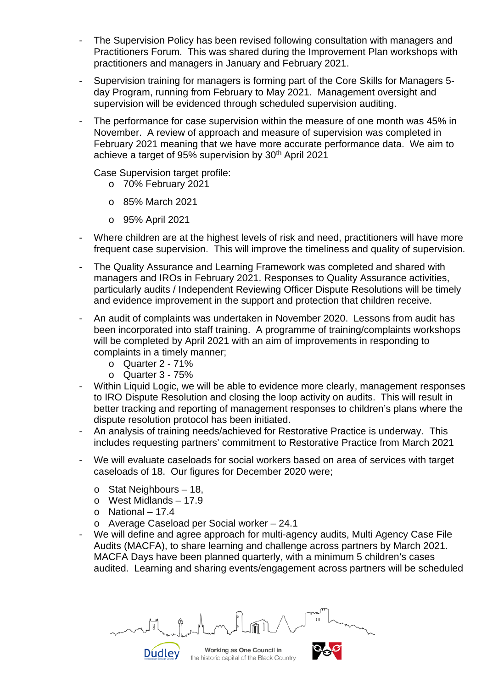- The Supervision Policy has been revised following consultation with managers and Practitioners Forum. This was shared during the Improvement Plan workshops with practitioners and managers in January and February 2021.
- Supervision training for managers is forming part of the Core Skills for Managers 5day Program, running from February to May 2021. Management oversight and supervision will be evidenced through scheduled supervision auditing.
- The performance for case supervision within the measure of one month was 45% in November. A review of approach and measure of supervision was completed in February 2021 meaning that we have more accurate performance data. We aim to achieve a target of 95% supervision by 30<sup>th</sup> April 2021

Case Supervision target profile:

- o 70% February 2021
- o 85% March 2021
- o 95% April 2021
- Where children are at the highest levels of risk and need, practitioners will have more frequent case supervision. This will improve the timeliness and quality of supervision.
- The Quality Assurance and Learning Framework was completed and shared with managers and IROs in February 2021. Responses to Quality Assurance activities, particularly audits / Independent Reviewing Officer Dispute Resolutions will be timely and evidence improvement in the support and protection that children receive.
- An audit of complaints was undertaken in November 2020. Lessons from audit has been incorporated into staff training. A programme of training/complaints workshops will be completed by April 2021 with an aim of improvements in responding to complaints in a timely manner;
	- o Quarter 2 71%
	- $\circ$  Quarter 3 75%
- Within Liquid Logic, we will be able to evidence more clearly, management responses to IRO Dispute Resolution and closing the loop activity on audits. This will result in better tracking and reporting of management responses to children's plans where the dispute resolution protocol has been initiated.
- An analysis of training needs/achieved for Restorative Practice is underway. This includes requesting partners' commitment to Restorative Practice from March 2021
- We will evaluate caseloads for social workers based on area of services with target caseloads of 18. Our figures for December 2020 were;
	- o Stat Neighbours 18,
	- o West Midlands 17.9

- $\circ$  National 17.4
- o Average Caseload per Social worker 24.1
- We will define and agree approach for multi-agency audits, Multi Agency Case File Audits (MACFA), to share learning and challenge across partners by March 2021. MACFA Days have been planned quarterly, with a minimum 5 children's cases audited. Learning and sharing events/engagement across partners will be scheduled

Working as One Council in the historic capital of the Black Country

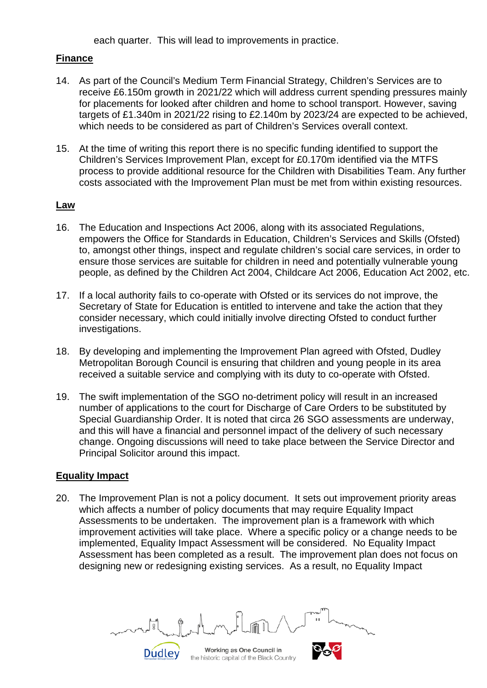each quarter. This will lead to improvements in practice.

### **Finance**

- 14. As part of the Council's Medium Term Financial Strategy, Children's Services are to receive £6.150m growth in 2021/22 which will address current spending pressures mainly for placements for looked after children and home to school transport. However, saving targets of £1.340m in 2021/22 rising to £2.140m by 2023/24 are expected to be achieved, which needs to be considered as part of Children's Services overall context.
- 15. At the time of writing this report there is no specific funding identified to support the Children's Services Improvement Plan, except for £0.170m identified via the MTFS process to provide additional resource for the Children with Disabilities Team. Any further costs associated with the Improvement Plan must be met from within existing resources.

#### **Law**

- 16. The Education and Inspections Act 2006, along with its associated Regulations, empowers the Office for Standards in Education, Children's Services and Skills (Ofsted) to, amongst other things, inspect and regulate children's social care services, in order to ensure those services are suitable for children in need and potentially vulnerable young people, as defined by the Children Act 2004, Childcare Act 2006, Education Act 2002, etc.
- 17. If a local authority fails to co-operate with Ofsted or its services do not improve, the Secretary of State for Education is entitled to intervene and take the action that they consider necessary, which could initially involve directing Ofsted to conduct further investigations.
- 18. By developing and implementing the Improvement Plan agreed with Ofsted, Dudley Metropolitan Borough Council is ensuring that children and young people in its area received a suitable service and complying with its duty to co-operate with Ofsted.
- 19. The swift implementation of the SGO no-detriment policy will result in an increased number of applications to the court for Discharge of Care Orders to be substituted by Special Guardianship Order. It is noted that circa 26 SGO assessments are underway, and this will have a financial and personnel impact of the delivery of such necessary change. Ongoing discussions will need to take place between the Service Director and Principal Solicitor around this impact.

### **Equality Impact**

20. The Improvement Plan is not a policy document. It sets out improvement priority areas which affects a number of policy documents that may require Equality Impact Assessments to be undertaken. The improvement plan is a framework with which improvement activities will take place. Where a specific policy or a change needs to be implemented, Equality Impact Assessment will be considered. No Equality Impact Assessment has been completed as a result. The improvement plan does not focus on designing new or redesigning existing services. As a result, no Equality Impact

Working as One Council in the historic capital of the Black Country